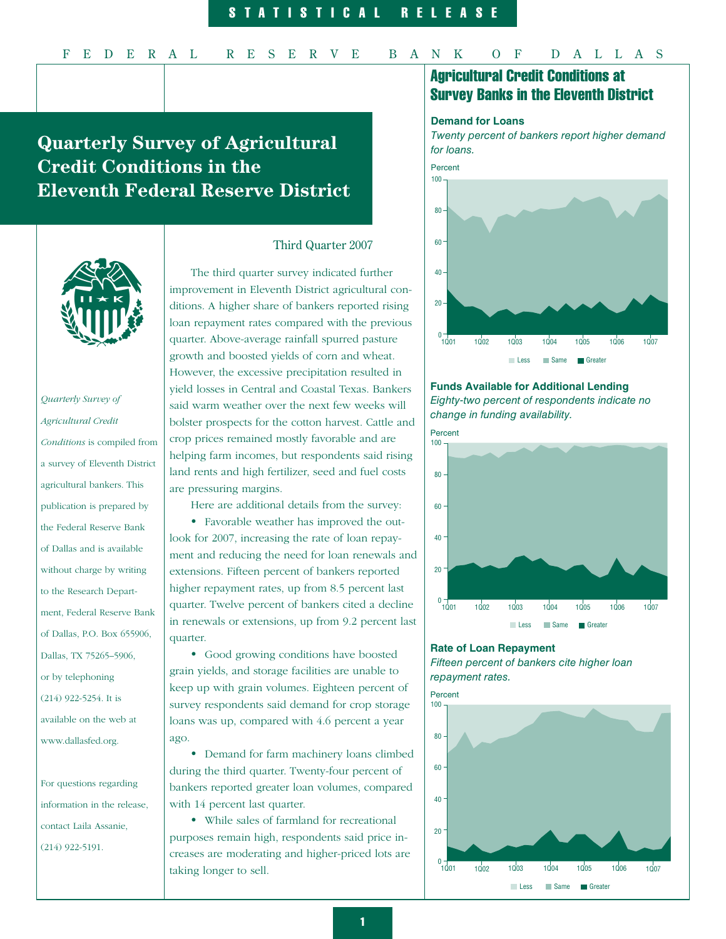# **Quarterly Survey of Agricultural Credit Conditions in the Eleventh Federal Reserve District**



# *Quarterly Survey of Agricultural Credit Conditions* is compiled from a survey of Eleventh District agricultural bankers. This publication is prepared by the Federal Reserve Bank of Dallas and is available without charge by writing to the Research Department, Federal Reserve Bank of Dallas, P.O. Box 655906, Dallas, TX 75265–5906, or by telephoning (214) 922-5254. It is available on the web at www.dallasfed.org.

For questions regarding information in the release, contact Laila Assanie, (214) 922-5191.

## Third Quarter 2007

The third quarter survey indicated further improvement in Eleventh District agricultural conditions. A higher share of bankers reported rising loan repayment rates compared with the previous quarter. Above-average rainfall spurred pasture growth and boosted yields of corn and wheat. However, the excessive precipitation resulted in yield losses in Central and Coastal Texas. Bankers said warm weather over the next few weeks will bolster prospects for the cotton harvest. Cattle and crop prices remained mostly favorable and are helping farm incomes, but respondents said rising land rents and high fertilizer, seed and fuel costs are pressuring margins.

Here are additional details from the survey:

• Favorable weather has improved the outlook for 2007, increasing the rate of loan repayment and reducing the need for loan renewals and extensions. Fifteen percent of bankers reported higher repayment rates, up from 8.5 percent last quarter. Twelve percent of bankers cited a decline in renewals or extensions, up from 9.2 percent last quarter.

• Good growing conditions have boosted grain yields, and storage facilities are unable to keep up with grain volumes. Eighteen percent of survey respondents said demand for crop storage loans was up, compared with 4.6 percent a year ago.

• Demand for farm machinery loans climbed during the third quarter. Twenty-four percent of bankers reported greater loan volumes, compared with 14 percent last quarter.

• While sales of farmland for recreational purposes remain high, respondents said price increases are moderating and higher-priced lots are taking longer to sell.

# Agricultural Credit Conditions at Survey Banks in the Eleventh District

#### **Demand for Loans**

Twenty percent of bankers report higher demand for loans.



## **Funds Available for Additional Lending**  Eighty-two percent of respondents indicate no change in funding availability.



# **Rate of Loan Repayment**



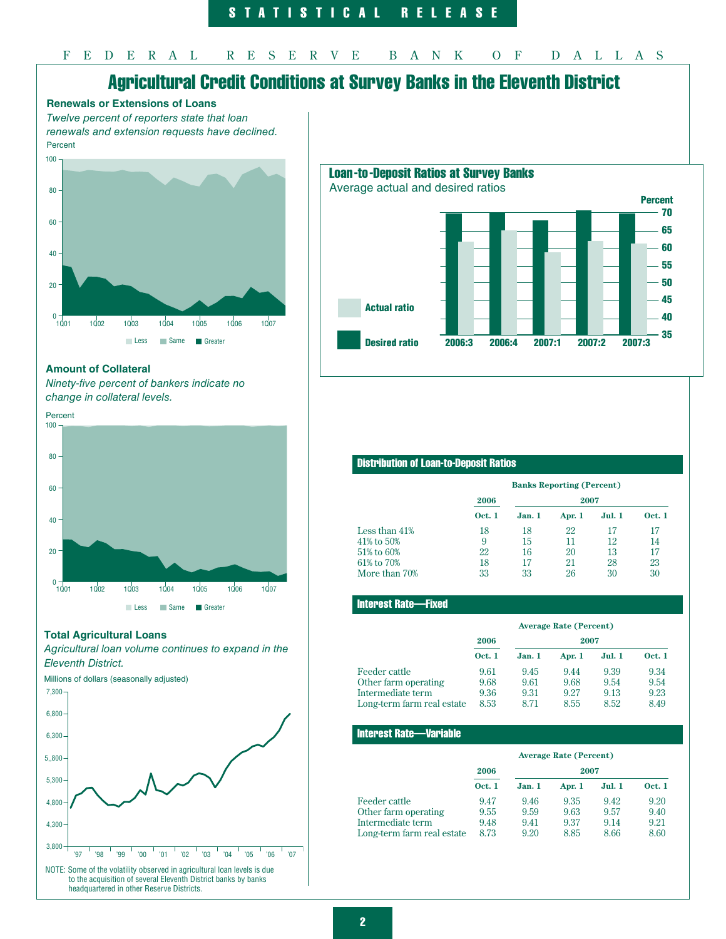# Agricultural Credit Conditions at Survey Banks in the Eleventh District



renewals and extension requests have declined. Percent





#### **Amount of Collateral**

Ninety-five percent of bankers indicate no change in collateral levels.



#### **Total Agricultural Loans**

Agricultural loan volume continues to expand in the Eleventh District.

Millions of dollars (seasonally adjusted)



### Distribution of Loan-to-Deposit Ratios

|               | <b>Banks Reporting (Percent)</b> |        |        |        |               |
|---------------|----------------------------------|--------|--------|--------|---------------|
|               | 2006                             |        | 2007   |        |               |
|               | <b>Oct. 1</b>                    | Jan. 1 | Apr. 1 | Jul. 1 | <b>Oct. 1</b> |
| Less than 41% | 18                               | 18     | 22     | 17     | 17            |
| 41% to 50%    | 9                                | 15     | 11     | 12     | 14            |
| 51% to 60%    | 22                               | 16     | 20     | 13     | 17            |
| 61% to 70%    | 18                               | 17     | 21     | 28     | 23            |
| More than 70% | 33                               | 33     | 26     | 30     | 30            |

#### Interest Rate—Fixed

|                            | <b>Average Rate (Percent)</b> |        |        |               |               |
|----------------------------|-------------------------------|--------|--------|---------------|---------------|
|                            | 2006<br>2007                  |        |        |               |               |
|                            | <b>Oct. 1</b>                 | Jan. 1 | Apr. 1 | <b>Jul. 1</b> | <b>Oct. 1</b> |
| Feeder cattle              | 9.61                          | 9.45   | 9.44   | 9.39          | 9.34          |
| Other farm operating       | 9.68                          | 9.61   | 9.68   | 9.54          | 9.54          |
| Intermediate term          | 9.36                          | 9.31   | 9.27   | 9.13          | 9.23          |
| Long-term farm real estate | 8.53                          | 8.71   | 8.55   | 8.52          | 8.49          |

#### Interest Rate—Variable

|                            | <b>Average Rate (Percent)</b> |        |        |               |               |
|----------------------------|-------------------------------|--------|--------|---------------|---------------|
|                            | 2006<br>2007                  |        |        |               |               |
|                            | <b>Oct. 1</b>                 | Jan. 1 | Apr. 1 | <b>Jul. 1</b> | <b>Oct. 1</b> |
| Feeder cattle              | 9.47                          | 9.46   | 9.35   | 9.42          | 9.20          |
| Other farm operating       | 9.55                          | 9.59   | 9.63   | 9.57          | 9.40          |
| Intermediate term          | 9.48                          | 9.41   | 9.37   | 9.14          | 9.21          |
| Long-term farm real estate | 8.73                          | 9.20   | 8.85   | 8.66          | 8.60          |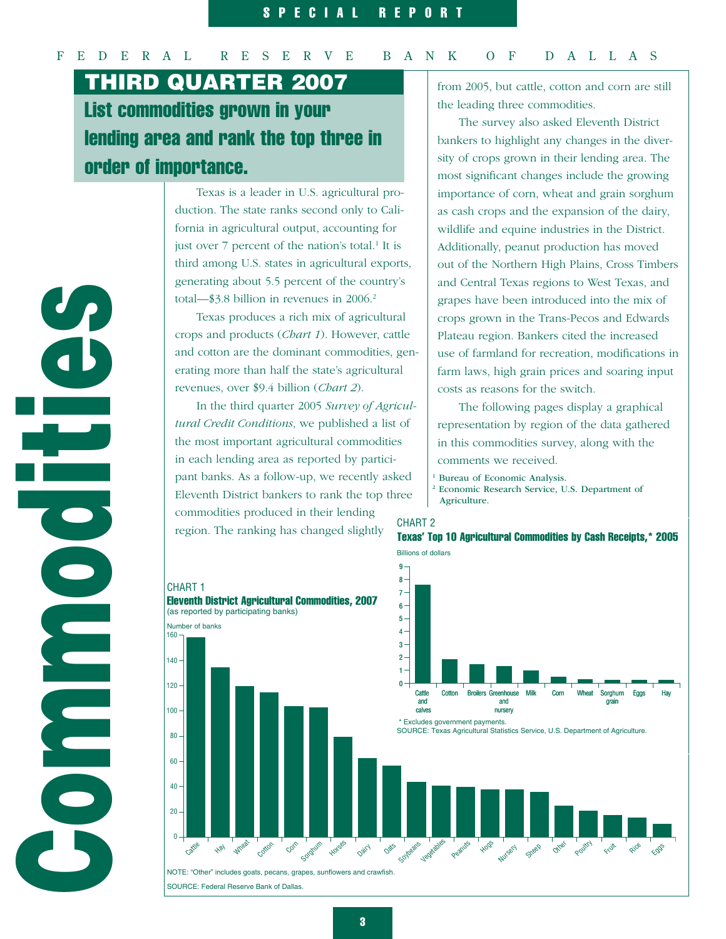# F E D E R A L R E S E R V E B A N K O F D A L L A S

List commodities grown in your lending area and rank the top three in order of importance. Third QuarTer 2007

> Texas is a leader in U.S. agricultural production. The state ranks second only to California in agricultural output, accounting for just over 7 percent of the nation's total.<sup>1</sup> It is third among U.S. states in agricultural exports, generating about 5.5 percent of the country's total—\$3.8 billion in revenues in 2006.<sup>2</sup>

Texas produces a rich mix of agricultural crops and products (*Chart 1*). However, cattle and cotton are the dominant commodities, generating more than half the state's agricultural revenues, over \$9.4 billion (*Chart 2*).

In the third quarter 2005 *Survey of Agricultural Credit Conditions*, we published a list of the most important agricultural commodities in each lending area as reported by participant banks. As a follow-up, we recently asked Eleventh District bankers to rank the top three commodities produced in their lending region. The ranking has changed slightly

from 2005, but cattle, cotton and corn are still the leading three commodities.

The survey also asked Eleventh District bankers to highlight any changes in the diversity of crops grown in their lending area. The most significant changes include the growing importance of corn, wheat and grain sorghum as cash crops and the expansion of the dairy, wildlife and equine industries in the District. Additionally, peanut production has moved out of the Northern High Plains, Cross Timbers and Central Texas regions to West Texas, and grapes have been introduced into the mix of crops grown in the Trans-Pecos and Edwards Plateau region. Bankers cited the increased use of farmland for recreation, modifications in farm laws, high grain prices and soaring input costs as reasons for the switch.

The following pages display a graphical representation by region of the data gathered in this commodities survey, along with the comments we received.

<sup>1</sup> Bureau of Economic Analysis.<br><sup>2</sup> Economic Research Service, U.S. Department of Agriculture.

# CHART 2





Communication E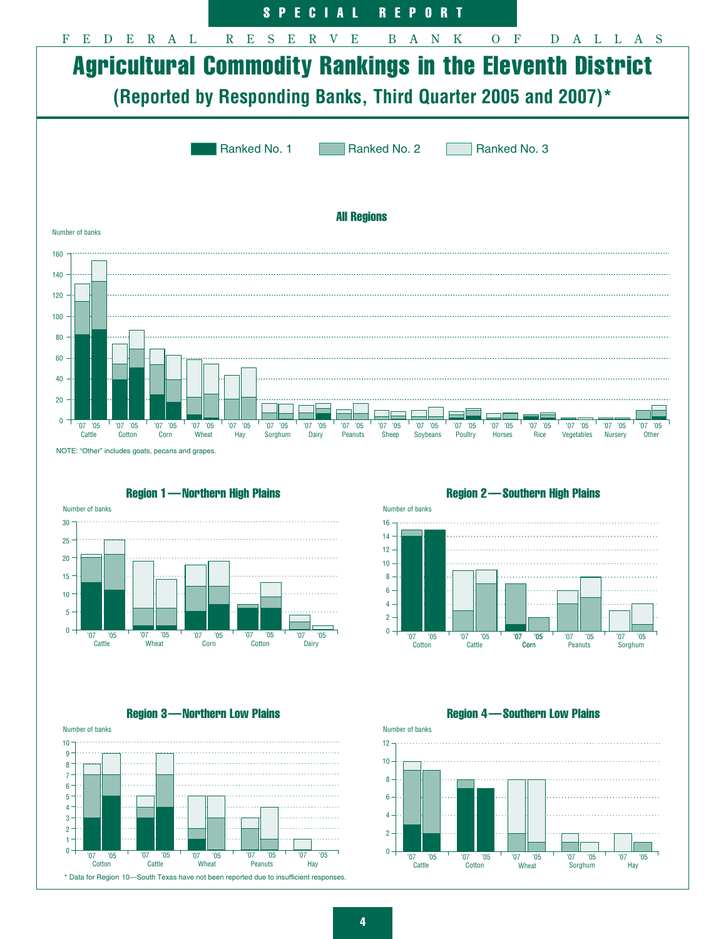



Region 1—Northern High Plains

Region 3—Northern Low Plains



Number of banks '07 '05 Corn Cattle Corn  $0 \overline{2}$ 4 6 8 10 12 14 16 '07 '05 Cotton '07 '05 '05 '07 '05 Peanuts '07 '05 Sorghum

Region 2—Southern High Plains

Region 4 —Southern Low Plains

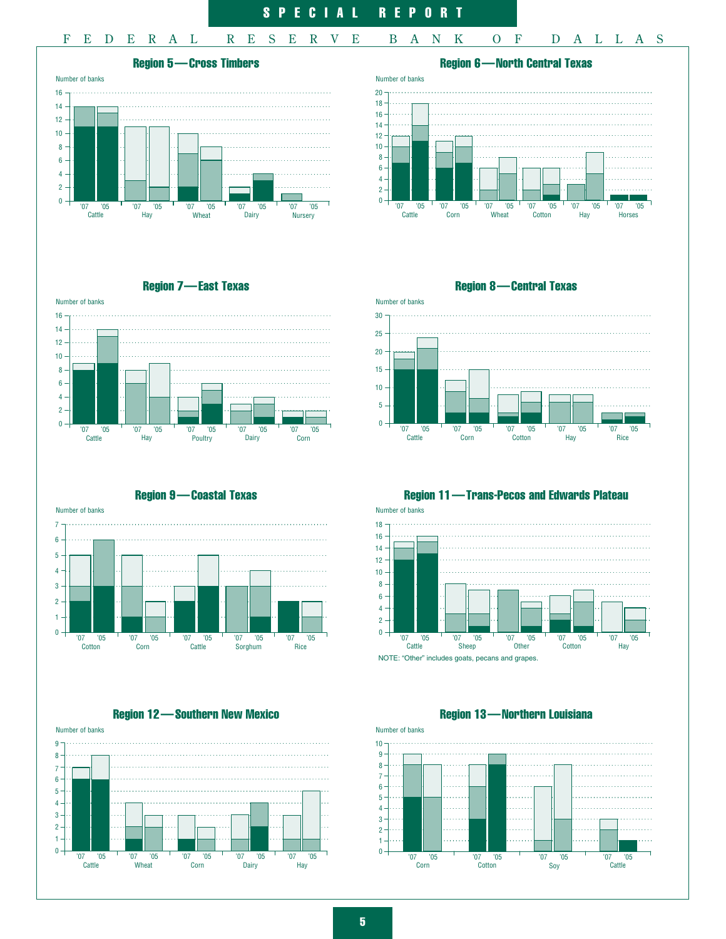



Region 7—East Texas



Number of banks

5 6 7

Region 9—Coastal Texas



Region 12—Southern New Mexico





Region 8—Central Texas



Region 11—Trans-Pecos and Edwards Plateau

Number of banks

18



NOTE: "Other" includes goats, pecans and grapes.

Region 13 —Northern Louisiana



5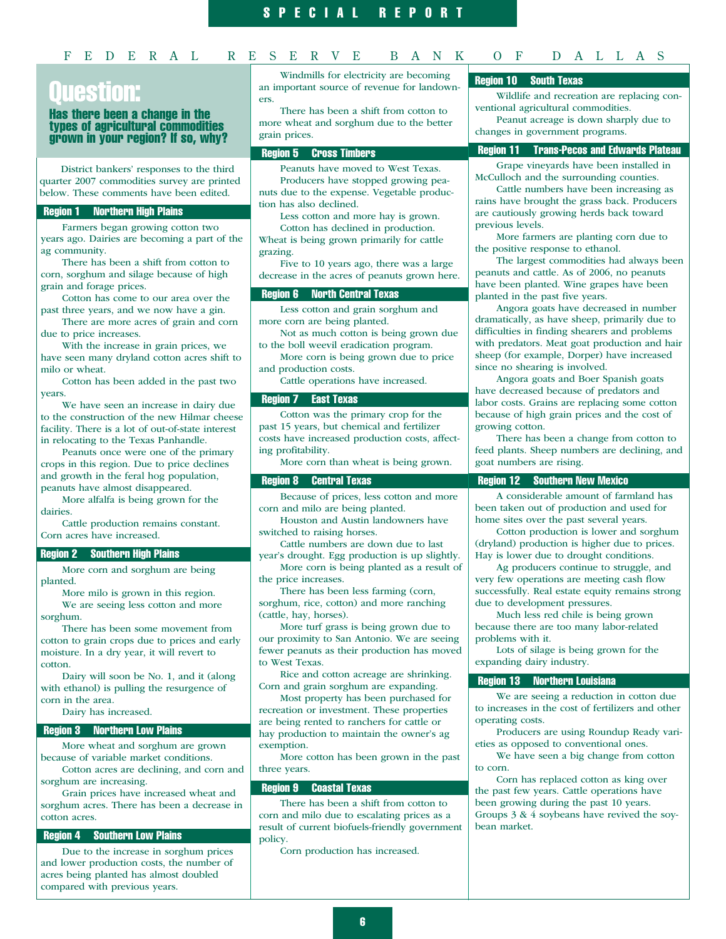### F E D E R A L R E S E R V E B A N K O F D A L L A S

# [Juestion:

#### Has there been a change in the types of agricultural commodities grown in your region? If so, why?

District bankers' responses to the third quarter 2007 commodities survey are printed below. These comments have been edited.

#### — Region 1 Northern High Plains

Farmers began growing cotton two years ago. Dairies are becoming a part of the ag community.

There has been a shift from cotton to corn, sorghum and silage because of high grain and forage prices.

Cotton has come to our area over the past three years, and we now have a gin.

There are more acres of grain and corn due to price increases.

With the increase in grain prices, we have seen many dryland cotton acres shift to milo or wheat.

Cotton has been added in the past two years.

We have seen an increase in dairy due to the construction of the new Hilmar cheese facility. There is a lot of out-of-state interest in relocating to the Texas Panhandle.

Peanuts once were one of the primary crops in this region. Due to price declines and growth in the feral hog population, peanuts have almost disappeared.

More alfalfa is being grown for the dairies.

Cattle production remains constant. Corn acres have increased.

#### — Region 2 Southern High Plains

More corn and sorghum are being planted.

More milo is grown in this region. We are seeing less cotton and more

sorghum.

There has been some movement from cotton to grain crops due to prices and early moisture. In a dry year, it will revert to cotton.

Dairy will soon be No. 1, and it (along with ethanol) is pulling the resurgence of corn in the area.

Dairy has increased.

#### — Region 3 Northern Low Plains

More wheat and sorghum are grown because of variable market conditions.

Cotton acres are declining, and corn and sorghum are increasing.

Grain prices have increased wheat and sorghum acres. There has been a decrease in cotton acres.

#### — Region 4 Southern Low Plains

Due to the increase in sorghum prices and lower production costs, the number of acres being planted has almost doubled compared with previous years.

Windmills for electricity are becoming an important source of revenue for landowners.

There has been a shift from cotton to more wheat and sorghum due to the better grain prices.

#### — Region 5 Cross Timbers

Peanuts have moved to West Texas. Producers have stopped growing peanuts due to the expense. Vegetable production has also declined.

Less cotton and more hay is grown. Cotton has declined in production.

Wheat is being grown primarily for cattle grazing.

Five to 10 years ago, there was a large decrease in the acres of peanuts grown here.

### **Region 6 North Central Texas**

Less cotton and grain sorghum and more corn are being planted.

Not as much cotton is being grown due to the boll weevil eradication program.

More corn is being grown due to price and production costs.

Cattle operations have increased.

#### — Region 7 East Texas

Cotton was the primary crop for the past 15 years, but chemical and fertilizer costs have increased production costs, affecting profitability.

More corn than wheat is being grown.

#### — Region 8 Central Texas

Because of prices, less cotton and more corn and milo are being planted.

Houston and Austin landowners have switched to raising horses.

Cattle numbers are down due to last year's drought. Egg production is up slightly.

More corn is being planted as a result of the price increases.

There has been less farming (corn, sorghum, rice, cotton) and more ranching (cattle, hay, horses).

More turf grass is being grown due to our proximity to San Antonio. We are seeing fewer peanuts as their production has moved to West Texas.

Rice and cotton acreage are shrinking. Corn and grain sorghum are expanding.

Most property has been purchased for recreation or investment. These properties are being rented to ranchers for cattle or hay production to maintain the owner's ag exemption.

More cotton has been grown in the past three years.

#### — Region 9 Coastal Texas

There has been a shift from cotton to corn and milo due to escalating prices as a result of current biofuels-friendly government policy.

Corn production has increased.

#### — Region 10 South Texas

Wildlife and recreation are replacing conventional agricultural commodities.

Peanut acreage is down sharply due to changes in government programs.

#### — Region 11 Trans-Pecos and Edwards Plateau

Grape vineyards have been installed in McCulloch and the surrounding counties.

Cattle numbers have been increasing as rains have brought the grass back. Producers are cautiously growing herds back toward previous levels.

More farmers are planting corn due to the positive response to ethanol.

The largest commodities had always been peanuts and cattle. As of 2006, no peanuts have been planted. Wine grapes have been planted in the past five years.

Angora goats have decreased in number dramatically, as have sheep, primarily due to difficulties in finding shearers and problems with predators. Meat goat production and hair sheep (for example, Dorper) have increased since no shearing is involved.

Angora goats and Boer Spanish goats have decreased because of predators and labor costs. Grains are replacing some cotton because of high grain prices and the cost of growing cotton.

There has been a change from cotton to feed plants. Sheep numbers are declining, and goat numbers are rising.

#### — Region 12 Southern New Mexico

A considerable amount of farmland has been taken out of production and used for home sites over the past several years.

Cotton production is lower and sorghum (dryland) production is higher due to prices. Hay is lower due to drought conditions.

Ag producers continue to struggle, and very few operations are meeting cash flow successfully. Real estate equity remains strong due to development pressures.

Much less red chile is being grown because there are too many labor-related problems with it.

Lots of silage is being grown for the expanding dairy industry.

#### — Region 13 Northern Louisiana

We are seeing a reduction in cotton due to increases in the cost of fertilizers and other operating costs.

Producers are using Roundup Ready varieties as opposed to conventional ones.

We have seen a big change from cotton to corn.

Corn has replaced cotton as king over the past few years. Cattle operations have been growing during the past 10 years. Groups 3 & 4 soybeans have revived the soybean market.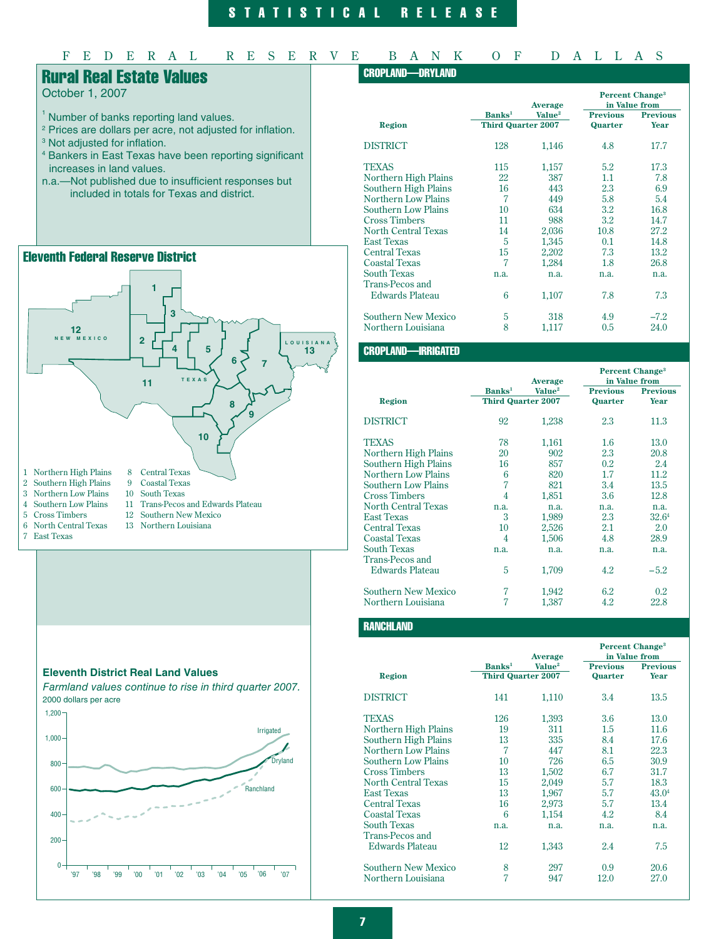# S T A T I S T I C A L R E L E A S E

# F E D E R A L R E S E R V E B A N K O F D A L L A S

# Rural Real Estate Values

October 1, 2007

- <sup>1</sup> Number of banks reporting land values.
- <sup>2</sup> Prices are dollars per acre, not adjusted for inflation.
- <sup>3</sup> Not adjusted for inflation.
- 4 Bankers in East Texas have been reporting significant increases in land values.
- n.a.—Not published due to insufficient responses but included in totals for Texas and district.

# Eleventh Federal Reserve District





### CROPLAND—DRYLAND

|                            |                           | Average            | <b>Percent Change<sup>3</sup></b><br>in Value from |                 |
|----------------------------|---------------------------|--------------------|----------------------------------------------------|-----------------|
|                            | <b>Banks</b> <sup>1</sup> | Value <sup>2</sup> | <b>Previous</b>                                    | <b>Previous</b> |
| <b>Region</b>              | <b>Third Quarter 2007</b> |                    | Quarter                                            | Year            |
| <b>DISTRICT</b>            | 128                       | 1,146              | 4.8                                                | 17.7            |
| TEXAS                      | 115                       | 1,157              | 5.2                                                | 17.3            |
| Northern High Plains       | 22                        | 387                | 1.1                                                | 7.8             |
| Southern High Plains       | 16                        | 443                | 2.3                                                | 6.9             |
| <b>Northern Low Plains</b> | 7                         | 449                | 5.8                                                | 5.4             |
| Southern Low Plains        | 10                        | 634                | 3.2                                                | 16.8            |
| <b>Cross Timbers</b>       | 11                        | 988                | 3.2                                                | 14.7            |
| North Central Texas        | 14                        | 2,036              | 10.8                                               | 27.2            |
| <b>East Texas</b>          | 5                         | 1,345              | 0.1                                                | 14.8            |
| <b>Central Texas</b>       | 15                        | 2,202              | 7.3                                                | 13.2            |
| <b>Coastal Texas</b>       | 7                         | 1,284              | 1.8                                                | 26.8            |
| <b>South Texas</b>         | n.a.                      | n.a.               | n.a.                                               | n.a.            |
| Trans-Pecos and            |                           |                    |                                                    |                 |
| <b>Edwards Plateau</b>     | 6                         | 1,107              | 7.8                                                | 7.3             |
| Southern New Mexico        | 5                         | 318                | 4.9                                                | $-7.2$          |
| Northern Louisiana         | 8                         | 1,117              | 0.5                                                | 24.0            |

### CROPLAND—IRRIGATED

|                            |                           |                    |                 | <b>Percent Change<sup>3</sup></b> |  |
|----------------------------|---------------------------|--------------------|-----------------|-----------------------------------|--|
|                            | Average                   |                    | in Value from   |                                   |  |
|                            | <b>Banks</b> <sup>1</sup> | Value <sup>2</sup> | <b>Previous</b> | <b>Previous</b>                   |  |
| Region                     | <b>Third Quarter 2007</b> |                    | Quarter         | Year                              |  |
| <b>DISTRICT</b>            | 92                        | 1,238              | 2.3             | 11.3                              |  |
| <b>TEXAS</b>               | 78                        | 1,161              | 1.6             | 13.0                              |  |
| Northern High Plains       | 20                        | 902                | 2.3             | 20.8                              |  |
| Southern High Plains       | 16                        | 857                | 0.2             | 2.4                               |  |
| <b>Northern Low Plains</b> | 6                         | 820                | 1.7             | 11.2                              |  |
| <b>Southern Low Plains</b> | 7                         | 821                | 3.4             | 13.5                              |  |
| <b>Cross Timbers</b>       | 4                         | 1,851              | 3.6             | 12.8                              |  |
| <b>North Central Texas</b> | n.a.                      | n.a.               | n.a.            | n.a.                              |  |
| <b>East Texas</b>          | 3                         | 1,989              | 2.3             | 32.64                             |  |
| <b>Central Texas</b>       | 10                        | 2,526              | 2.1             | 2.0                               |  |
| <b>Coastal Texas</b>       | 4                         | 1,506              | 4.8             | 28.9                              |  |
| <b>South Texas</b>         | n.a.                      | n.a.               | n.a.            | n.a.                              |  |
| Trans-Pecos and            |                           |                    |                 |                                   |  |
| <b>Edwards Plateau</b>     | 5                         | 1,709              | 4.2             | $-5.2$                            |  |
| Southern New Mexico        | 7                         | 1,942              | 6.2             | 0.2                               |  |
| Northern Louisiana         | 7                         | 1,387              | 4.2             | 22.8                              |  |

### **RANCHLAND**

|                            |                           |                    | <b>Percent Change<sup>3</sup></b> |                 |
|----------------------------|---------------------------|--------------------|-----------------------------------|-----------------|
|                            |                           | Average            | in Value from                     |                 |
|                            | <b>Banks</b> <sup>1</sup> | Value <sup>2</sup> | <b>Previous</b>                   | <b>Previous</b> |
| <b>Region</b>              | <b>Third Quarter 2007</b> |                    | Quarter                           | Year            |
| <b>DISTRICT</b>            | 141                       | 1,110              | 3.4                               | 13.5            |
| <b>TEXAS</b>               | 126                       | 1,393              | 3.6                               | 13.0            |
| Northern High Plains       | 19                        | 311                | 1.5                               | 11.6            |
| Southern High Plains       | 13                        | 335                | 8.4                               | 17.6            |
| Northern Low Plains        | $\overline{7}$            | 447                | 8.1                               | 22.3            |
| Southern Low Plains        | 10                        | 726                | 6.5                               | 30.9            |
| <b>Cross Timbers</b>       | 13                        | 1,502              | 6.7                               | 31.7            |
| <b>North Central Texas</b> | 15                        | 2,049              | 5.7                               | 18.3            |
| <b>East Texas</b>          | 13                        | 1.967              | 5.7                               | 43.04           |
| <b>Central Texas</b>       | 16                        | 2,973              | 5.7                               | 13.4            |
| <b>Coastal Texas</b>       | 6                         | 1,154              | 4.2                               | 8.4             |
| <b>South Texas</b>         | n.a.                      | n.a.               | n.a.                              | n.a.            |
| Trans-Pecos and            |                           |                    |                                   |                 |
| Edwards Plateau            | 12                        | 1,343              | 2.4                               | 7.5             |
| <b>Southern New Mexico</b> | 8                         | 297                | 0.9                               | 20.6            |
| Northern Louisiana         | 7                         | 947                | 12.0                              | 27.0            |